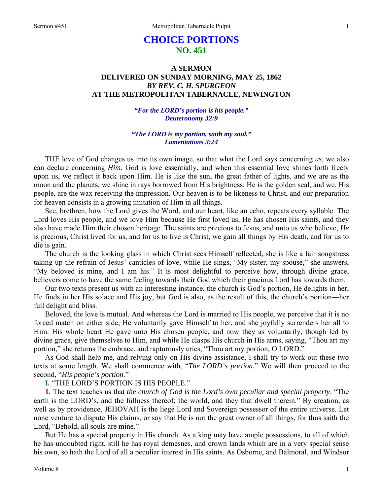# **CHOICE PORTIONS NO. 451**

# **A SERMON DELIVERED ON SUNDAY MORNING, MAY 25, 1862**  *BY REV. C. H. SPURGEON*  **AT THE METROPOLITAN TABERNACLE, NEWINGTON**

# *"For the LORD's portion is his people." Deuteronomy 32:9*

# *"The LORD is my portion, saith my soul." Lamentations 3:24*

THE love of God changes us into its own image, so that what the Lord says concerning *us,* we also can declare concerning *Him*. God is love essentially, and when this essential love shines forth freely upon us, we reflect it back upon Him. He is like the sun, the great father of lights, and we are as the moon and the planets, we shine in rays borrowed from His brightness. He is the golden seal, and we, His people, are the wax receiving the impression. Our heaven is to be likeness to Christ, and our preparation for heaven consists in a growing imitation of Him in all things.

See, brethren, how the Lord gives the Word, and our heart, like an echo, repeats every syllable. The Lord loves His people, and we love Him because He first loved us, He has chosen His saints, and they also have made Him their chosen heritage. The saints are precious to Jesus, and unto us who believe, *He*  is precious, Christ lived for us, and for us to live is Christ, we gain all things by His death, and for us to die is gain.

The church is the looking glass in which Christ sees Himself reflected, she is like a fair songstress taking up the refrain of Jesus' canticles of love, while He sings, "My sister, my spouse," she answers, "My beloved is mine, and I am his." It is most delightful to perceive how, through divine grace, believers come to have the same feeling towards their God which their gracious Lord has towards them.

Our two texts present us with an interesting instance, the church is God's portion, He delights in her, He finds in her His solace and His joy, but God is also, as the result of this, the church's portion—her full delight and bliss.

Beloved, the love is mutual. And whereas the Lord is married to His people, we perceive that it is no forced match on either side, He voluntarily gave Himself to her, and she joyfully surrenders her all to Him. His whole heart He gave unto His chosen people, and now they as voluntarily, though led by divine grace, give themselves to Him, and while He clasps His church in His arms, saying, "Thou art my portion," she returns the embrace, and rapturously cries, "Thou art my portion, O LORD."

As God shall help me, and relying only on His divine assistance, I shall try to work out these two texts at some length. We shall commence with, "*The LORD's portion.*" We will then proceed to the second, "*His people's portion.*"

# **I.** "THE LORD'S PORTION IS HIS PEOPLE."

**1.** The text teaches us that *the church of God is the Lord's own peculiar and special property*. "The earth is the LORD's, and the fullness thereof; the world, and they that dwell therein." By creation, as well as by providence, JEHOVAH is the liege Lord and Sovereign possessor of the entire universe. Let none venture to dispute His claims, or say that He is not the great owner of all things, for thus saith the Lord, "Behold, all souls are mine."

But He has a special property in His church. As a king may have ample possessions, to all of which he has undoubted right, still he has royal demesnes, and crown lands which are in a very special sense his own, so hath the Lord of all a peculiar interest in His saints. As Osborne, and Balmoral, and Windsor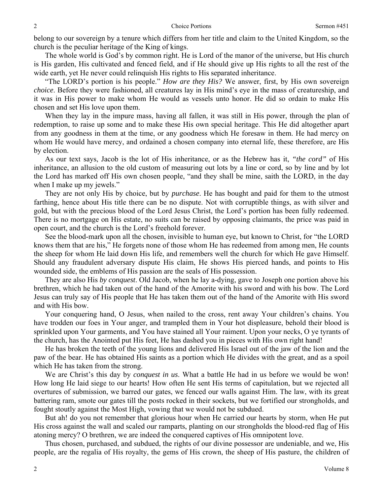belong to our sovereign by a tenure which differs from her title and claim to the United Kingdom, so the church is the peculiar heritage of the King of kings.

The whole world is God's by common right. He is Lord of the manor of the universe, but His church is His garden, His cultivated and fenced field, and if He should give up His rights to all the rest of the wide earth, yet He never could relinquish His rights to His separated inheritance.

"The LORD's portion is his people." *How are they His?* We answer, first, by His own sovereign *choice*. Before they were fashioned, all creatures lay in His mind's eye in the mass of creatureship, and it was in His power to make whom He would as vessels unto honor. He did so ordain to make His chosen and set His love upon them.

When they lay in the impure mass, having all fallen, it was still in His power, through the plan of redemption, to raise up some and to make these His own special heritage. This He did altogether apart from any goodness in them at the time, or any goodness which He foresaw in them. He had mercy on whom He would have mercy, and ordained a chosen company into eternal life, these therefore, are His by election.

As our text says, Jacob is the lot of His inheritance, or as the Hebrew has it, *"the cord"* of His inheritance, an allusion to the old custom of measuring out lots by a line or cord, so by line and by lot the Lord has marked off His own chosen people, "and they shall be mine, saith the LORD, in the day when I make up my jewels."

They are not only His by choice, but by *purchase*. He has bought and paid for them to the utmost farthing, hence about His title there can be no dispute. Not with corruptible things, as with silver and gold, but with the precious blood of the Lord Jesus Christ, the Lord's portion has been fully redeemed. There is no mortgage on His estate, no suits can be raised by opposing claimants, the price was paid in open court, and the church is the Lord's freehold forever.

See the blood-mark upon all the chosen, invisible to human eye, but known to Christ, for "the LORD knows them that are his," He forgets none of those whom He has redeemed from among men, He counts the sheep for whom He laid down His life, and remembers well the church for which He gave Himself. Should any fraudulent adversary dispute His claim, He shows His pierced hands, and points to His wounded side, the emblems of His passion are the seals of His possession.

They are also His *by conquest*. Old Jacob, when he lay a-dying, gave to Joseph one portion above his brethren, which he had taken out of the hand of the Amorite with his sword and with his bow. The Lord Jesus can truly say of His people that He has taken them out of the hand of the Amorite with His sword and with His bow.

Your conquering hand, O Jesus, when nailed to the cross, rent away Your children's chains. You have trodden our foes in Your anger, and trampled them in Your hot displeasure, behold their blood is sprinkled upon Your garments, and You have stained all Your raiment. Upon your necks, O ye tyrants of the church, has the Anointed put His feet, He has dashed you in pieces with His own right hand!

He has broken the teeth of the young lions and delivered His Israel out of the jaw of the lion and the paw of the bear. He has obtained His saints as a portion which He divides with the great, and as a spoil which He has taken from the strong.

We are Christ's this day by *conquest in us*. What a battle He had in us before we would be won! How long He laid siege to our hearts! How often He sent His terms of capitulation, but we rejected all overtures of submission, we barred our gates, we fenced our walls against Him. The law, with its great battering ram, smote our gates till the posts rocked in their sockets, but we fortified our strongholds, and fought stoutly against the Most High, vowing that we would not be subdued.

But ah! do you not remember that glorious hour when He carried our hearts by storm, when He put His cross against the wall and scaled our ramparts, planting on our strongholds the blood-red flag of His atoning mercy? O brethren, we are indeed the conquered captives of His omnipotent love.

Thus chosen, purchased, and subdued, the rights of our divine possessor are undeniable, and we, His people, are the regalia of His royalty, the gems of His crown, the sheep of His pasture, the children of

2

2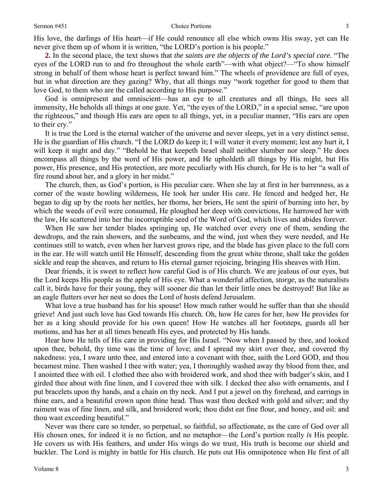### Sermon #451 Choice Portions

His love, the darlings of His heart—if He could renounce all else which owns His sway, yet can He never give them up of whom it is written, "the LORD's portion is his people."

**2.** In the second place, the text shows that *the saints are the objects of the Lord's special care*. "The eyes of the LORD run to and fro throughout the whole earth"—with what object?—"To show himself strong in behalf of them whose heart is perfect toward him." The wheels of providence are full of eyes, but in what direction are they gazing? Why, that all things may "work together for good to them that love God, to them who are the called according to His purpose."

God is omnipresent and omniscient—has an eye to all creatures and all things, He sees all immensity, He beholds all things at one gaze. Yet, "the eyes of the LORD," in a special sense, "are upon the righteous," and though His ears are open to all things, yet, in a peculiar manner, "His ears are open to their cry."

It is true the Lord is the eternal watcher of the universe and never sleeps, yet in a very distinct sense, He is the guardian of His church. "I the LORD do keep it; I will water it every moment; lest any hurt it, I will keep it night and day." "Behold he that keepeth Israel shall neither slumber nor sleep." He does encompass all things by the word of His power, and He upholdeth all things by His might, but His power, His presence, and His protection, are more peculiarly with His church, for He is to her "a wall of fire round about her, and a glory in her midst."

The church, then, as God's portion, is His peculiar care. When she lay at first in her barrenness, as a corner of the waste howling wilderness, He took her under His care. He fenced and hedged her, He began to dig up by the roots her nettles, her thorns, her briers, He sent the spirit of burning into her, by which the weeds of evil were consumed, He ploughed her deep with convictions, He harrowed her with the law, He scattered into her the incorruptible seed of the Word of God, which lives and abides forever.

When He saw her tender blades springing up, He watched over every one of them, sending the dewdrops, and the rain showers, and the sunbeams, and the wind, just when they were needed, and He continues still to watch, even when her harvest grows ripe, and the blade has given place to the full corn in the ear. He will watch until He Himself, descending from the great white throne, shall take the golden sickle and reap the sheaves, and return to His eternal garner rejoicing, bringing His sheaves with Him.

Dear friends, it is sweet to reflect how careful God is of His church. We are jealous of our eyes, but the Lord keeps His people as the apple of His eye. What a wonderful affection, *storge,* as the naturalists call it, birds have for their young, they will sooner die than let their little ones be destroyed! But like as an eagle flutters over her nest so does the Lord of hosts defend Jerusalem.

What love a true husband has for his spouse! How much rather would he suffer than that she should grieve! And just such love has God towards His church. Oh, how He cares for her, how He provides for her as a king should provide for his own queen! How He watches all her footsteps, guards all her motions, and has her at all times beneath His eyes, and protected by His hands.

Hear how He tells of His care in providing for His Israel. "Now when I passed by thee, and looked upon thee, behold, thy time was the time of love; and I spread my skirt over thee, and covered thy nakedness: yea, I sware unto thee, and entered into a covenant with thee, saith the Lord GOD, and thou becamest mine. Then washed I thee with water; yea, I thoroughly washed away thy blood from thee, and I anointed thee with oil. I clothed thee also with broidered work, and shod thee with badger's skin, and I girded thee about with fine linen, and I covered thee with silk. I decked thee also with ornaments, and I put bracelets upon thy hands, and a chain on thy neck. And I put a jewel on thy forehead, and earrings in thine ears, and a beautiful crown upon thine head. Thus wast thou decked with gold and silver; and thy raiment was of fine linen, and silk, and broidered work; thou didst eat fine flour, and honey, and oil: and thou wast exceeding beautiful."

Never was there care so tender, so perpetual, so faithful, so affectionate, as the care of God over all His chosen ones, for indeed it is no fiction, and no metaphor—the Lord's portion really *is* His people. He covers us with His feathers, and under His wings do we trust, His truth is become our shield and buckler. The Lord is mighty in battle for His church. He puts out His omnipotence when He first of all

3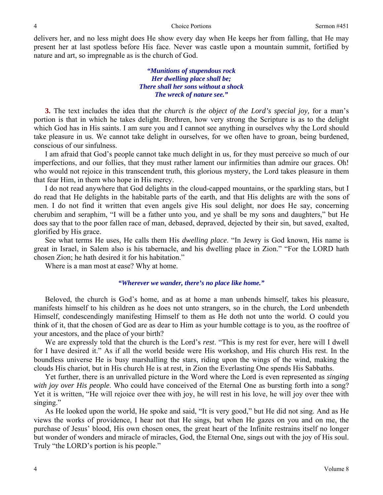delivers her, and no less might does He show every day when He keeps her from falling, that He may present her at last spotless before His face. Never was castle upon a mountain summit, fortified by nature and art, so impregnable as is the church of God.

# *"Munitions of stupendous rock Her dwelling place shall be; There shall her sons without a shock The wreck of nature see."*

**3.** The text includes the idea that *the church is the object of the Lord's special joy,* for a man's portion is that in which he takes delight. Brethren, how very strong the Scripture is as to the delight which God has in His saints. I am sure you and I cannot see anything in ourselves why the Lord should take pleasure in us. We cannot take delight in ourselves, for we often have to groan, being burdened, conscious of our sinfulness.

I am afraid that God's people cannot take much delight in us, for they must perceive so much of our imperfections, and our follies, that they must rather lament our infirmities than admire our graces. Oh! who would not rejoice in this transcendent truth, this glorious mystery, the Lord takes pleasure in them that fear Him, in them who hope in His mercy.

I do not read anywhere that God delights in the cloud-capped mountains, or the sparkling stars, but I do read that He delights in the habitable parts of the earth, and that His delights are with the sons of men. I do not find it written that even angels give His soul delight, nor does He say, concerning cherubim and seraphim, "I will be a father unto you, and ye shall be my sons and daughters," but He does say that to the poor fallen race of man, debased, depraved, dejected by their sin, but saved, exalted, glorified by His grace.

See what terms He uses, He calls them His *dwelling place*. "In Jewry is God known, His name is great in Israel, in Salem also is his tabernacle, and his dwelling place in Zion." "For the LORD hath chosen Zion; he hath desired it for his habitation."

Where is a man most at ease? Why at home.

### *"Wherever we wander, there's no place like home."*

Beloved, the church is God's home, and as at home a man unbends himself, takes his pleasure, manifests himself to his children as he does not unto strangers, so in the church, the Lord unbendeth Himself, condescendingly manifesting Himself to them as He doth not unto the world. O could you think of it, that the chosen of God are as dear to Him as your humble cottage is to you, as the rooftree of your ancestors, and the place of your birth?

We are expressly told that the church is the Lord's *rest*. "This is my rest for ever, here will I dwell for I have desired it." As if all the world beside were His workshop, and His church His rest. In the boundless universe He is busy marshalling the stars, riding upon the wings of the wind, making the clouds His chariot, but in His church He is at rest, in Zion the Everlasting One spends His Sabbaths.

Yet further, there is an unrivalled picture in the Word where the Lord is even represented as *singing with joy over His people*. Who could have conceived of the Eternal One as bursting forth into a song? Yet it is written, "He will rejoice over thee with joy, he will rest in his love, he will joy over thee with singing."

As He looked upon the world, He spoke and said, "It is very good," but He did not sing. And as He views the works of providence, I hear not that He sings, but when He gazes on you and on me, the purchase of Jesus' blood, His own chosen ones, the great heart of the Infinite restrains itself no longer but wonder of wonders and miracle of miracles, God, the Eternal One, sings out with the joy of His soul. Truly "the LORD's portion is his people."

4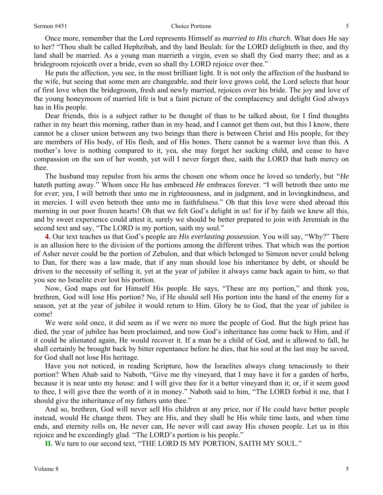Once more, remember that the Lord represents Himself as *married to His church*. What does He say to her? "Thou shalt be called Hephzibah, and thy land Beulah: for the LORD delighteth in thee, and thy land shall be married. As a young man marrieth a virgin, even so shall thy God marry thee; and as a bridegroom rejoiceth over a bride, even so shall thy LORD rejoice over thee."

He puts the affection, you see, in the most brilliant light. It is not only the affection of the husband to the wife, but seeing that some men are changeable, and their love grows cold, the Lord selects that hour of first love when the bridegroom, fresh and newly married, rejoices over his bride. The joy and love of the young honeymoon of married life is but a faint picture of the complacency and delight God always has in His people.

Dear friends, this is a subject rather to be thought of than to be talked about, for I find thoughts rather in my heart this morning, rather than in my head, and I cannot get them out, but this I know, there cannot be a closer union between any two beings than there is between Christ and His people, for they are members of His body, of His flesh, and of His bones. There cannot be a warmer love than this. A mother's love is nothing compared to it, yea, she may forget her sucking child, and cease to have compassion on the son of her womb, yet will I never forget thee, saith the LORD that hath mercy on thee.

The husband may repulse from his arms the chosen one whom once he loved so tenderly, but *"He*  hateth putting away." Whom once He has embraced *He* embraces forever. "I will betroth thee unto me for ever; yea, I will betroth thee unto me in righteousness, and in judgment, and in lovingkindness, and in mercies. I will even betroth thee unto me in faithfulness." Oh that this love were shed abroad this morning in our poor frozen hearts! Oh that we felt God's delight in us! for if by faith we knew all this, and by sweet experience could attest it, surely we should be better prepared to join with Jeremiah in the second text and say, "The LORD is my portion, saith my soul."

**4.** Our text teaches us that God's people are *His everlasting possession*. You will say, "Why?" There is an allusion here to the division of the portions among the different tribes. That which was the portion of Asher never could be the portion of Zebulon, and that which belonged to Simeon never could belong to Dan, for there was a law made, that if any man should lose his inheritance by debt, or should be driven to the necessity of selling it, yet at the year of jubilee it always came back again to him, so that you see no Israelite ever lost his portion.

Now, God maps out for Himself His people. He says, "These are my portion," and think you, brethren, God will lose His portion? No, if He should sell His portion into the hand of the enemy for a season, yet at the year of jubilee it would return to Him. Glory be to God, that the year of jubilee is come!

We were sold once, it did seem as if we were no more the people of God. But the high priest has died, the year of jubilee has been proclaimed, and now God's inheritance has come back to Him, and if it could be alienated again, He would recover it. If a man be a child of God, and is allowed to fall, he shall certainly be brought back by bitter repentance before he dies, that his soul at the last may be saved, for God shall not lose His heritage.

Have you not noticed, in reading Scripture, how the Israelites always clung tenaciously to their portion? When Ahab said to Naboth, "Give me thy vineyard, that I may have it for a garden of herbs, because it is near unto my house: and I will give thee for it a better vineyard than it; or, if it seem good to thee, I will give thee the worth of it in money." Naboth said to him, "The LORD forbid it me, that I should give the inheritance of my fathers unto thee."

And so, brethren, God will never sell His children at any price, nor if He could have better people instead, would He change them. They are His, and they shall be His while time lasts, and when time ends, and eternity rolls on, He never can, He never will cast away His chosen people. Let us in this rejoice and be exceedingly glad. "The LORD's portion is his people."

**II.** We turn to our second text, "THE LORD IS MY PORTION, SAITH MY SOUL."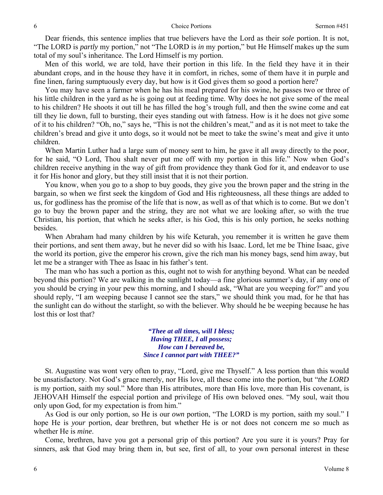Dear friends, this sentence implies that true believers have the Lord as their *sole* portion. It is not, "The LORD is *partly* my portion," not "The LORD is *in* my portion," but He Himself makes up the sum total of my soul's inheritance. The Lord Himself is my portion.

Men of this world, we are told, have their portion in this life. In the field they have it in their abundant crops, and in the house they have it in comfort, in riches, some of them have it in purple and fine linen, faring sumptuously every day, but how is it God gives them so good a portion here?

You may have seen a farmer when he has his meal prepared for his swine, he passes two or three of his little children in the yard as he is going out at feeding time. Why does he not give some of the meal to his children? He shoots it out till he has filled the hog's trough full, and then the swine come and eat till they lie down, full to bursting, their eyes standing out with fatness. How is it he does not give some of it to his children? "Oh, no," says he, "This is not the children's meat," and as it is not meet to take the children's bread and give it unto dogs, so it would not be meet to take the swine's meat and give it unto children.

When Martin Luther had a large sum of money sent to him, he gave it all away directly to the poor, for he said, "O Lord, Thou shalt never put me off with my portion in this life." Now when God's children receive anything in the way of gift from providence they thank God for it, and endeavor to use it for His honor and glory, but they still insist that it is not their portion.

You know, when you go to a shop to buy goods, they give you the brown paper and the string in the bargain, so when we first seek the kingdom of God and His righteousness, all these things are added to us, for godliness has the promise of the life that is now, as well as of that which is to come. But we don't go to buy the brown paper and the string, they are not what we are looking after, so with the true Christian, his portion, that which he seeks after, is his God, this is his only portion, he seeks nothing besides.

When Abraham had many children by his wife Keturah, you remember it is written he gave them their portions, and sent them away, but he never did so with his Isaac. Lord, let me be Thine Isaac, give the world its portion, give the emperor his crown, give the rich man his money bags, send him away, but let me be a stranger with Thee as Isaac in his father's tent.

The man who has such a portion as this, ought not to wish for anything beyond. What can be needed beyond this portion? We are walking in the sunlight today—a fine glorious summer's day, if any one of you should be crying in your pew this morning, and I should ask, "What are you weeping for?" and you should reply, "I am weeping because I cannot see the stars," we should think you mad, for he that has the sunlight can do without the starlight, so with the believer. Why should he be weeping because he has lost this or lost that?

> *"Thee at all times, will I bless; Having THEE, I all possess; How can I bereaved be, Since I cannot part with THEE?"*

St. Augustine was wont very often to pray, "Lord, give me Thyself." A less portion than this would be unsatisfactory. Not God's grace merely, nor His love, all these come into the portion, but "*the LORD*  is my portion, saith my soul." More than His attributes, more than His love, more than His covenant, is JEHOVAH Himself the especial portion and privilege of His own beloved ones. "My soul, wait thou only upon God, for my expectation is from him."

As God is our only portion, so He is our *own* portion, "The LORD is my portion, saith my soul." I hope He is *your* portion, dear brethren, but whether He is or not does not concern me so much as whether He is *mine*.

Come, brethren, have you got a personal grip of this portion? Are you sure it is yours? Pray for sinners, ask that God may bring them in, but see, first of all, to your own personal interest in these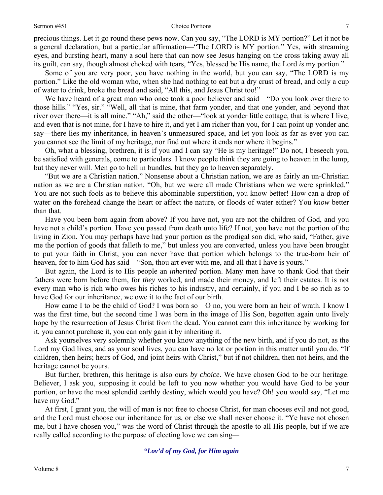#### Sermon #451 Choice Portions

precious things. Let it go round these pews now. Can you say, "The LORD is MY portion?" Let it not be a general declaration, but a particular affirmation—"The LORD is MY portion." Yes, with streaming eyes, and bursting heart, many a soul here that can now see Jesus hanging on the cross taking away all its guilt, can say, though almost choked with tears, "Yes, blessed be His name, the Lord *is* my portion."

Some of you are very poor, you have nothing in the world, but you can say, "The LORD is my portion." Like the old woman who, when she had nothing to eat but a dry crust of bread, and only a cup of water to drink, broke the bread and said, "All this, and Jesus Christ too!"

We have heard of a great man who once took a poor believer and said—"Do you look over there to those hills." "Yes, sir." "Well, all that is mine, that farm yonder, and that one yonder, and beyond that river over there—it is all mine." "Ah," said the other—"look at yonder little cottage, that is where I live, and even that is not mine, for I have to hire it, and yet I am richer than you, for I can point up yonder and say—there lies my inheritance, in heaven's unmeasured space, and let you look as far as ever you can you cannot see the limit of my heritage, nor find out where it ends nor where it begins."

Oh, what a blessing, brethren, it is if you and I can say "He is my heritage!" Do not, I beseech you, be satisfied with generals, come to particulars. I know people think they are going to heaven in the lump, but they never will. Men go to hell in bundles, but they go to heaven separately.

"But we are a Christian nation." Nonsense about a Christian nation, we are as fairly an un-Christian nation as we are a Christian nation. "Oh, but we were all made Christians when we were sprinkled." You are not such fools as to believe this abominable superstition, you know better! How can a drop of water on the forehead change the heart or affect the nature, or floods of water either? You *know* better than that.

Have you been born again from above? If you have not, you are not the children of God, and you have not a child's portion. Have you passed from death unto life? If not, you have not the portion of the living in Zion. You may perhaps have had your portion as the prodigal son did, who said, "Father, give me the portion of goods that falleth to me," but unless you are converted, unless you have been brought to put your faith in Christ, you can never have that portion which belongs to the true-born heir of heaven, for to him God has said—"Son, thou art ever with me, and all that I have is yours."

But again, the Lord is to His people an *inherited* portion. Many men have to thank God that their fathers were born before them, for *they* worked, and made their money, and left their estates. It is not every man who is rich who owes his riches to his industry, and certainly, if you and I be so rich as to have God for our inheritance, we owe it to the fact of our birth.

How came I to be the child of God? I was born so—O no, you were born an heir of wrath. I know I was the first time, but the second time I was born in the image of His Son, begotten again unto lively hope by the resurrection of Jesus Christ from the dead. You cannot earn this inheritance by working for it, you cannot purchase it, you can only gain it by inheriting it.

Ask yourselves very solemnly whether you know anything of the new birth, and if you do not, as the Lord my God lives, and as your soul lives, you can have no lot or portion in this matter until you do. "If children, then heirs; heirs of God, and joint heirs with Christ," but if not children, then not heirs, and the heritage cannot be yours.

But further, brethren, this heritage is also ours *by choice*. We have chosen God to be our heritage. Believer, I ask you, supposing it could be left to you now whether you would have God to be your portion, or have the most splendid earthly destiny, which would you have? Oh! you would say, "Let me have my God."

At first, I grant you, the will of man is not free to choose Christ, for man chooses evil and not good, and the Lord must choose our inheritance for us, or else we shall never choose it. "Ye have not chosen me, but I have chosen you," was the word of Christ through the apostle to all His people, but if we are really called according to the purpose of electing love we can sing—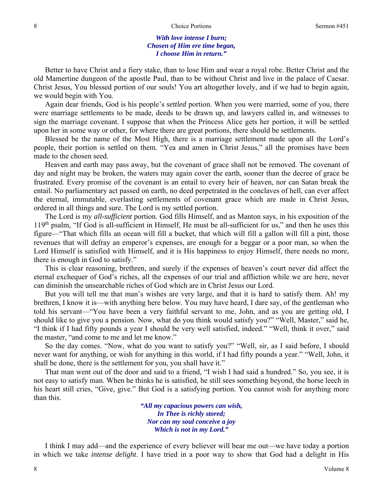## *With love intense I burn; Chosen of Him ere time began, I choose Him in return."*

Better to have Christ and a fiery stake, than to lose Him and wear a royal robe. Better Christ and the old Mamertine dungeon of the apostle Paul, than to be without Christ and live in the palace of Caesar. Christ Jesus, You blessed portion of our souls! You art altogether lovely, and if we had to begin again, we would begin with You.

Again dear friends, God is his people's *settled* portion. When you were married, some of you, there were marriage settlements to be made, deeds to be drawn up, and lawyers called in, and witnesses to sign the marriage covenant. I suppose that when the Princess Alice gets her portion, it will be settled upon her in some way or other, for where there are great portions, there should be settlements.

Blessed be the name of the Most High, there is a marriage settlement made upon all the Lord's people, their portion is settled on them. "Yea and amen in Christ Jesus," all the promises have been made to the chosen seed.

Heaven and earth may pass away, but the covenant of grace shall not be removed. The covenant of day and night may be broken, the waters may again cover the earth, sooner than the decree of grace be frustrated. Every promise of the covenant is an entail to every heir of heaven, nor can Satan break the entail. No parliamentary act passed on earth, no deed perpetrated in the conclaves of hell, can ever affect the eternal, immutable, everlasting settlements of covenant grace which are made in Christ Jesus, ordered in all things and sure. The Lord is my settled portion.

The Lord is my *all-sufficient* portion. God fills Himself, and as Manton says, in his exposition of the  $119<sup>th</sup>$  psalm, "If God is all-sufficient in Himself, He must be all-sufficient for us," and then he uses this figure—"That which fills an ocean will fill a bucket, that which will fill a gallon will fill a pint, those revenues that will defray an emperor's expenses, are enough for a beggar or a poor man, so when the Lord Himself is satisfied with Himself, and it is His happiness to enjoy Himself, there needs no more, there is enough in God to satisfy."

This is clear reasoning, brethren, and surely if the expenses of heaven's court never did affect the eternal exchequer of God's riches, all the expenses of our trial and affliction while we are here, never can diminish the unsearchable riches of God which are in Christ Jesus our Lord.

But you will tell me that man's wishes are very large, and that it is hard to satisfy them. Ah! my brethren, I know it is—with anything here below. You may have heard, I dare say, of the gentleman who told his servant—"You have been a very faithful servant to me, John, and as you are getting old, I should like to give you a pension. Now, what do you think would satisfy you?" "Well, Master," said he, "I think if I had fifty pounds a year I should be very well satisfied, indeed." "Well, think it over," said the master, "and come to me and let me know."

So the day comes. "Now, what do you want to satisfy you?" "Well, sir, as I said before, I should never want for anything, or wish for anything in this world, if I had fifty pounds a year." "Well, John, it shall be done, there is the settlement for you, you shall have it."

That man went out of the door and said to a friend, "I wish I had said a hundred." So, you see, it is not easy to satisfy man. When he thinks he is satisfied, he still sees something beyond, the horse leech in his heart still cries, "Give, give." But God is a satisfying portion. You cannot wish for anything more than this.

> *"All my capacious powers can wish, In Thee is richly stored; Nor can my soul conceive a joy Which is not in my Lord."*

I think I may add—and the experience of every believer will bear me out—we have today a portion in which we take *intense delight*. I have tried in a poor way to show that God had a delight in His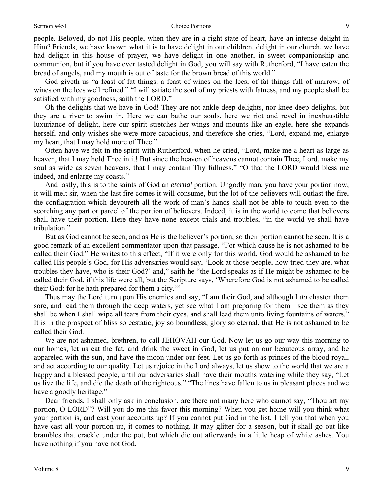### Sermon #451 Choice Portions

people. Beloved, do not His people, when they are in a right state of heart, have an intense delight in Him? Friends, we have known what it is to have delight in our children, delight in our church, we have had delight in this house of prayer, we have delight in one another, in sweet companionship and communion, but if you have ever tasted delight in God, you will say with Rutherford, "I have eaten the bread of angels, and my mouth is out of taste for the brown bread of this world."

God giveth us "a feast of fat things, a feast of wines on the lees, of fat things full of marrow, of wines on the lees well refined." "I will satiate the soul of my priests with fatness, and my people shall be satisfied with my goodness, saith the LORD."

Oh the delights that we have in God! They are not ankle-deep delights, nor knee-deep delights, but they are a river to swim in. Here we can bathe our souls, here we riot and revel in inexhaustible luxuriance of delight, here our spirit stretches her wings and mounts like an eagle, here she expands herself, and only wishes she were more capacious, and therefore she cries, "Lord, expand me, enlarge my heart, that I may hold more of Thee."

Often have we felt in the spirit with Rutherford, when he cried, "Lord, make me a heart as large as heaven, that I may hold Thee in it! But since the heaven of heavens cannot contain Thee, Lord, make my soul as wide as seven heavens, that I may contain Thy fullness." "O that the LORD would bless me indeed, and enlarge my coasts."

And lastly, this is to the saints of God an *eternal* portion. Ungodly man, you have your portion now, it will melt sir, when the last fire comes it will consume, but the lot of the believers will outlast the fire, the conflagration which devoureth all the work of man's hands shall not be able to touch even to the scorching any part or parcel of the portion of believers. Indeed, it is in the world to come that believers shall have their portion. Here they have none except trials and troubles, "in the world ye shall have tribulation."

But as God cannot be seen, and as He is the believer's portion, so their portion cannot be seen. It is a good remark of an excellent commentator upon that passage, "For which cause he is not ashamed to be called their God." He writes to this effect, "If it were only for this world, God would be ashamed to be called His people's God, for His adversaries would say, 'Look at those people, how tried they are, what troubles they have, who is their God?' and," saith he "the Lord speaks as if He might be ashamed to be called their God, if this life were all, but the Scripture says, 'Wherefore God is not ashamed to be called their God: for he hath prepared for them a city.'"

Thus may the Lord turn upon His enemies and say, "I am their God, and although I *do* chasten them sore, and lead them through the deep waters, yet see what I am preparing for them—see them as they shall be when I shall wipe all tears from their eyes, and shall lead them unto living fountains of waters." It is in the prospect of bliss so ecstatic, joy so boundless, glory so eternal, that He is not ashamed to be called their God.

*We* are not ashamed, brethren, to call JEHOVAH our God. Now let us go our way this morning to our homes, let us eat the fat, and drink the sweet in God, let us put on our beauteous array, and be appareled with the sun, and have the moon under our feet. Let us go forth as princes of the blood-royal, and act according to our quality. Let us rejoice in the Lord always, let us show to the world that we are a happy and a blessed people, until our adversaries shall have their mouths watering while they say, "Let us live the life, and die the death of the righteous." "The lines have fallen to us in pleasant places and we have a goodly heritage."

Dear friends, I shall only ask in conclusion, are there not many here who cannot say, "Thou art my portion, O LORD"? Will you do me this favor this morning? When you get home will you think what your portion is, and cast your accounts up? If you cannot put God in the list, I tell you that when you have cast all your portion up, it comes to nothing. It may glitter for a season, but it shall go out like brambles that crackle under the pot, but which die out afterwards in a little heap of white ashes. You have nothing if you have not God.